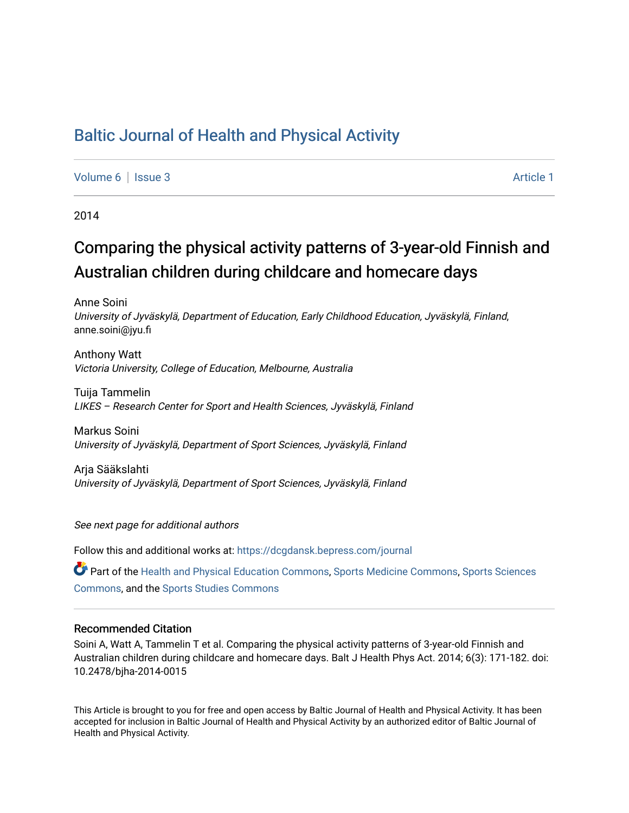# [Baltic Journal of Health and Physical Activity](https://dcgdansk.bepress.com/journal)

[Volume 6](https://dcgdansk.bepress.com/journal/vol6) | [Issue 3](https://dcgdansk.bepress.com/journal/vol6/iss3) Article 1

2014

# Comparing the physical activity patterns of 3-year-old Finnish and Australian children during childcare and homecare days

Anne Soini University of Jyväskylä, Department of Education, Early Childhood Education, Jyväskylä, Finland, anne.soini@jyu.fi

Anthony Watt Victoria University, College of Education, Melbourne, Australia

Tuija Tammelin LIKES – Research Center for Sport and Health Sciences, Jyväskylä, Finland

Markus Soini University of Jyväskylä, Department of Sport Sciences, Jyväskylä, Finland

Arja Sääkslahti University of Jyväskylä, Department of Sport Sciences, Jyväskylä, Finland

See next page for additional authors

Follow this and additional works at: [https://dcgdansk.bepress.com/journal](https://dcgdansk.bepress.com/journal?utm_source=dcgdansk.bepress.com%2Fjournal%2Fvol6%2Fiss3%2F1&utm_medium=PDF&utm_campaign=PDFCoverPages)

Part of the [Health and Physical Education Commons](http://network.bepress.com/hgg/discipline/1327?utm_source=dcgdansk.bepress.com%2Fjournal%2Fvol6%2Fiss3%2F1&utm_medium=PDF&utm_campaign=PDFCoverPages), [Sports Medicine Commons,](http://network.bepress.com/hgg/discipline/1331?utm_source=dcgdansk.bepress.com%2Fjournal%2Fvol6%2Fiss3%2F1&utm_medium=PDF&utm_campaign=PDFCoverPages) [Sports Sciences](http://network.bepress.com/hgg/discipline/759?utm_source=dcgdansk.bepress.com%2Fjournal%2Fvol6%2Fiss3%2F1&utm_medium=PDF&utm_campaign=PDFCoverPages) [Commons](http://network.bepress.com/hgg/discipline/759?utm_source=dcgdansk.bepress.com%2Fjournal%2Fvol6%2Fiss3%2F1&utm_medium=PDF&utm_campaign=PDFCoverPages), and the [Sports Studies Commons](http://network.bepress.com/hgg/discipline/1198?utm_source=dcgdansk.bepress.com%2Fjournal%2Fvol6%2Fiss3%2F1&utm_medium=PDF&utm_campaign=PDFCoverPages) 

#### Recommended Citation

Soini A, Watt A, Tammelin T et al. Comparing the physical activity patterns of 3-year-old Finnish and Australian children during childcare and homecare days. Balt J Health Phys Act. 2014; 6(3): 171-182. doi: 10.2478/bjha-2014-0015

This Article is brought to you for free and open access by Baltic Journal of Health and Physical Activity. It has been accepted for inclusion in Baltic Journal of Health and Physical Activity by an authorized editor of Baltic Journal of Health and Physical Activity.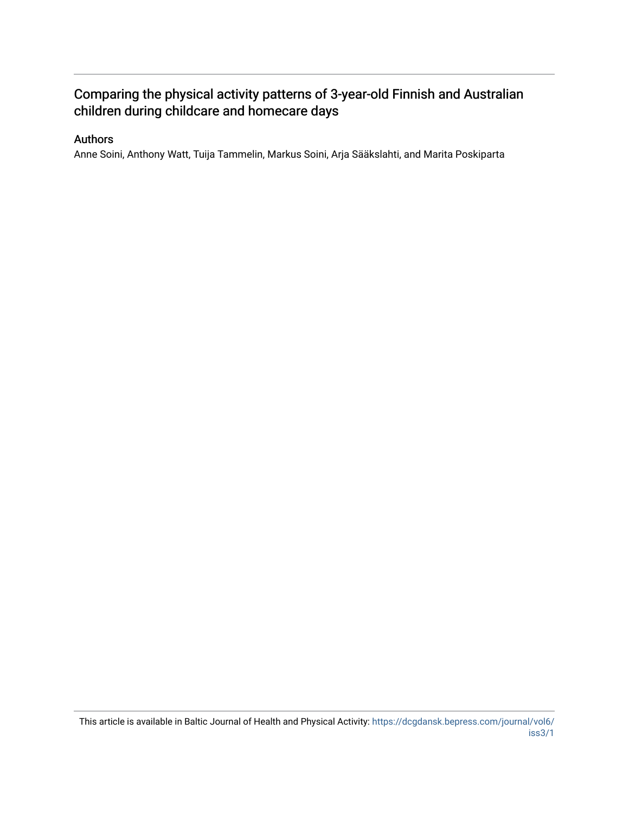# Comparing the physical activity patterns of 3-year-old Finnish and Australian children during childcare and homecare days

# Authors

Anne Soini, Anthony Watt, Tuija Tammelin, Markus Soini, Arja Sääkslahti, and Marita Poskiparta

This article is available in Baltic Journal of Health and Physical Activity: [https://dcgdansk.bepress.com/journal/vol6/](https://dcgdansk.bepress.com/journal/vol6/iss3/1) [iss3/1](https://dcgdansk.bepress.com/journal/vol6/iss3/1)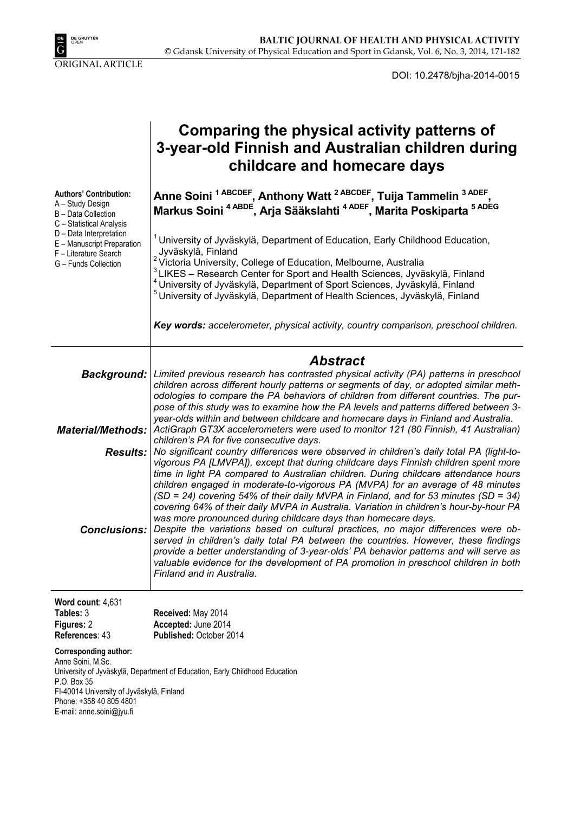

DOI: 10.2478/bjha-2014-0015

| Comparing the physical activity patterns of       |
|---------------------------------------------------|
| 3-year-old Finnish and Australian children during |
| childcare and homecare days                       |

**Authors' Contribution:**  A – Study Design B – Data Collection C – Statistical Analysis D – Data Interpretation E – Manuscript Preparation F – Literature Search G – Funds Collection Anne Soini <sup>1 ABCDEF</sup>, Anthony Watt<sup>2 ABCDEF</sup>, Tuija Tammelin <sup>3 ADEF</sup> **Markus Soini 4 ABDE, Arja Sääkslahti 4 ADEF, Marita Poskiparta 5 ADEG**  $1$  University of Jyväskylä, Department of Education, Early Childhood Education, Jyväskylä, Finland <sup>2</sup> Victoria University, College of Education, Melbourne, Australia<br><sup>3</sup> LIKES – Research Center for Sport and Health Sciences, Jyväskylä, Finland <sup>4</sup> University of Jyväskylä, Department of Sport Sciences, Jyväskylä, Finland<br><sup>5</sup> University of Jyväskylä, Department of Health Sciences, Jyväskylä, Finland *Key words: accelerometer, physical activity, country comparison, preschool children. Abstract Background: Limited previous research has contrasted physical activity (PA) patterns in preschool children across different hourly patterns or segments of day, or adopted similar methodologies to compare the PA behaviors of children from different countries. The purpose of this study was to examine how the PA levels and patterns differed between 3 year-olds within and between childcare and homecare days in Finland and Australia. Material/Methods: ActiGraph GT3X accelerometers were used to monitor 121 (80 Finnish, 41 Australian) children's PA for five consecutive days. Results: No significant country differences were observed in children's daily total PA (light-tovigorous PA [LMVPA]), except that during childcare days Finnish children spent more time in light PA compared to Australian children. During childcare attendance hours children engaged in moderate-to-vigorous PA (MVPA) for an average of 48 minutes (SD = 24) covering 54% of their daily MVPA in Finland, and for 53 minutes (SD = 34) covering 64% of their daily MVPA in Australia. Variation in children's hour-by-hour PA was more pronounced during childcare days than homecare days. Conclusions: Despite the variations based on cultural practices, no major differences were observed in children's daily total PA between the countries. However, these findings provide a better understanding of 3-year-olds' PA behavior patterns and will serve as valuable evidence for the development of PA promotion in preschool children in both Finland and in Australia.* 

#### **Word count**: 4,631 **Table**

| Tables: 3      | Received: May 2014             |
|----------------|--------------------------------|
| Figures: 2     | Accepted: June 2014            |
| References: 43 | <b>Published: October 2014</b> |

#### **Corresponding author:**

Anne Soini, M.Sc. University of Jyväskylä, Department of Education, Early Childhood Education P.O. Box 35 FI-40014 University of Jyväskylä, Finland Phone: +358 40 805 4801 E-mail: anne.soini@jyu.fi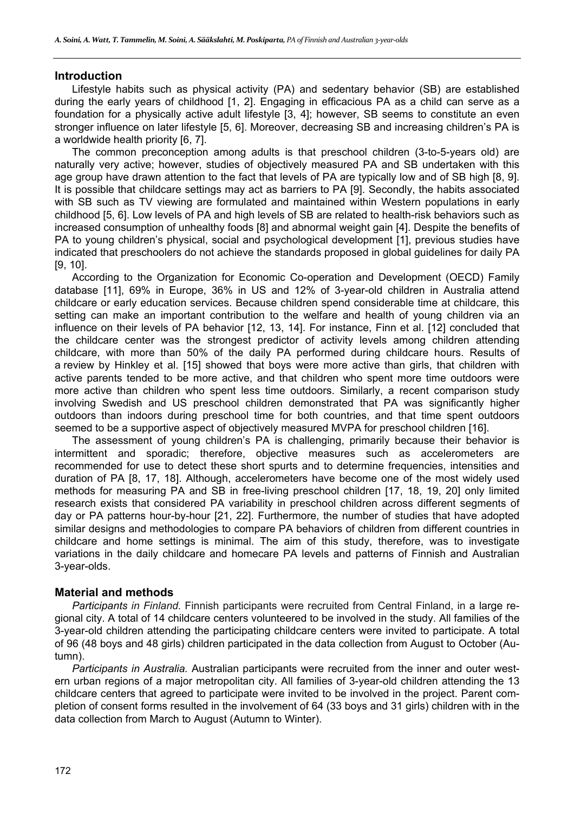#### **Introduction**

Lifestyle habits such as physical activity (PA) and sedentary behavior (SB) are established during the early years of childhood [1, 2]. Engaging in efficacious PA as a child can serve as a foundation for a physically active adult lifestyle [3, 4]; however, SB seems to constitute an even stronger influence on later lifestyle [5, 6]. Moreover, decreasing SB and increasing children's PA is a worldwide health priority [6, 7].

The common preconception among adults is that preschool children (3-to-5-years old) are naturally very active; however, studies of objectively measured PA and SB undertaken with this age group have drawn attention to the fact that levels of PA are typically low and of SB high [8, 9]. It is possible that childcare settings may act as barriers to PA [9]. Secondly, the habits associated with SB such as TV viewing are formulated and maintained within Western populations in early childhood [5, 6]. Low levels of PA and high levels of SB are related to health-risk behaviors such as increased consumption of unhealthy foods [8] and abnormal weight gain [4]. Despite the benefits of PA to young children's physical, social and psychological development [1], previous studies have indicated that preschoolers do not achieve the standards proposed in global guidelines for daily PA [9, 10].

According to the Organization for Economic Co-operation and Development (OECD) Family database [11], 69% in Europe, 36% in US and 12% of 3-year-old children in Australia attend childcare or early education services. Because children spend considerable time at childcare, this setting can make an important contribution to the welfare and health of young children via an influence on their levels of PA behavior [12, 13, 14]. For instance, Finn et al. [12] concluded that the childcare center was the strongest predictor of activity levels among children attending childcare, with more than 50% of the daily PA performed during childcare hours. Results of a review by Hinkley et al. [15] showed that boys were more active than girls, that children with active parents tended to be more active, and that children who spent more time outdoors were more active than children who spent less time outdoors. Similarly, a recent comparison study involving Swedish and US preschool children demonstrated that PA was significantly higher outdoors than indoors during preschool time for both countries, and that time spent outdoors seemed to be a supportive aspect of objectively measured MVPA for preschool children [16].

The assessment of young children's PA is challenging, primarily because their behavior is intermittent and sporadic; therefore, objective measures such as accelerometers are recommended for use to detect these short spurts and to determine frequencies, intensities and duration of PA [8, 17, 18]. Although, accelerometers have become one of the most widely used methods for measuring PA and SB in free-living preschool children [17, 18, 19, 20] only limited research exists that considered PA variability in preschool children across different segments of day or PA patterns hour-by-hour [21, 22]. Furthermore, the number of studies that have adopted similar designs and methodologies to compare PA behaviors of children from different countries in childcare and home settings is minimal. The aim of this study, therefore, was to investigate variations in the daily childcare and homecare PA levels and patterns of Finnish and Australian 3-year-olds.

#### **Material and methods**

*Participants in Finland.* Finnish participants were recruited from Central Finland, in a large regional city. A total of 14 childcare centers volunteered to be involved in the study. All families of the 3-year-old children attending the participating childcare centers were invited to participate. A total of 96 (48 boys and 48 girls) children participated in the data collection from August to October (Autumn).

*Participants in Australia.* Australian participants were recruited from the inner and outer western urban regions of a major metropolitan city. All families of 3-year-old children attending the 13 childcare centers that agreed to participate were invited to be involved in the project. Parent completion of consent forms resulted in the involvement of 64 (33 boys and 31 girls) children with in the data collection from March to August (Autumn to Winter).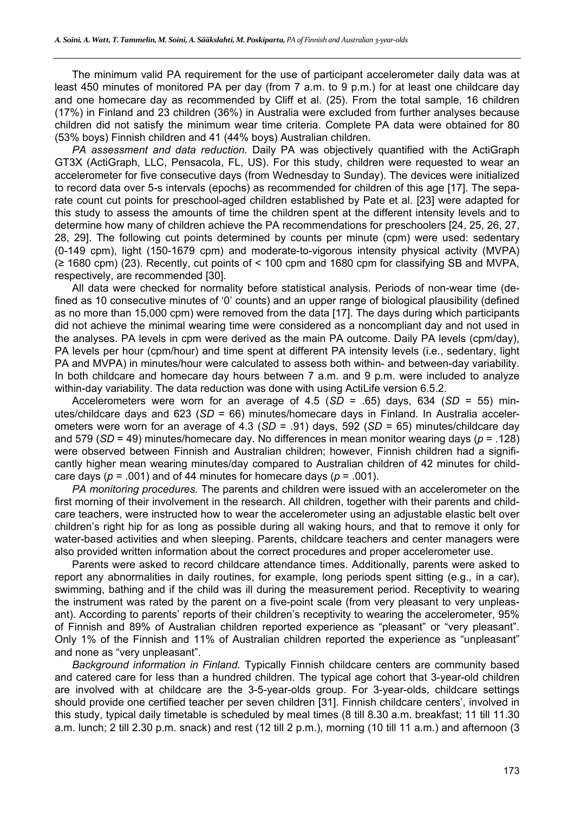The minimum valid PA requirement for the use of participant accelerometer daily data was at least 450 minutes of monitored PA per day (from 7 a.m. to 9 p.m.) for at least one childcare day and one homecare day as recommended by Cliff et al. (25). From the total sample, 16 children (17%) in Finland and 23 children (36%) in Australia were excluded from further analyses because children did not satisfy the minimum wear time criteria. Complete PA data were obtained for 80 (53% boys) Finnish children and 41 (44% boys) Australian children.

*PA assessment and data reduction*. Daily PA was objectively quantified with the ActiGraph GT3X (ActiGraph, LLC, Pensacola, FL, US). For this study, children were requested to wear an accelerometer for five consecutive days (from Wednesday to Sunday). The devices were initialized to record data over 5-s intervals (epochs) as recommended for children of this age [17]. The separate count cut points for preschool-aged children established by Pate et al. [23] were adapted for this study to assess the amounts of time the children spent at the different intensity levels and to determine how many of children achieve the PA recommendations for preschoolers [24, 25, 26, 27, 28, 29]. The following cut points determined by counts per minute (cpm) were used: sedentary (0-149 cpm), light (150-1679 cpm) and moderate-to-vigorous intensity physical activity (MVPA) (≥ 1680 cpm) (23). Recently, cut points of < 100 cpm and 1680 cpm for classifying SB and MVPA, respectively, are recommended [30].

All data were checked for normality before statistical analysis. Periods of non-wear time (defined as 10 consecutive minutes of '0' counts) and an upper range of biological plausibility (defined as no more than 15,000 cpm) were removed from the data [17]. The days during which participants did not achieve the minimal wearing time were considered as a noncompliant day and not used in the analyses. PA levels in cpm were derived as the main PA outcome. Daily PA levels (cpm/day), PA levels per hour (cpm/hour) and time spent at different PA intensity levels (i.e., sedentary, light PA and MVPA) in minutes/hour were calculated to assess both within- and between-day variability. In both childcare and homecare day hours between 7 a.m. and 9 p.m. were included to analyze within-day variability. The data reduction was done with using ActiLife version 6.5.2.

Accelerometers were worn for an average of 4.5 (*SD* = .65) days, 634 (*SD* = 55) minutes/childcare days and 623 (*SD* = 66) minutes/homecare days in Finland. In Australia accelerometers were worn for an average of 4.3 (*SD* = .91) days, 592 (*SD* = 65) minutes/childcare day and 579 (*SD* = 49) minutes/homecare day. No differences in mean monitor wearing days (*p* = .128) were observed between Finnish and Australian children; however, Finnish children had a significantly higher mean wearing minutes/day compared to Australian children of 42 minutes for childcare days ( $p = .001$ ) and of 44 minutes for homecare days ( $p = .001$ ).

*PA monitoring procedures.* The parents and children were issued with an accelerometer on the first morning of their involvement in the research. All children, together with their parents and childcare teachers, were instructed how to wear the accelerometer using an adjustable elastic belt over children's right hip for as long as possible during all waking hours, and that to remove it only for water-based activities and when sleeping. Parents, childcare teachers and center managers were also provided written information about the correct procedures and proper accelerometer use.

Parents were asked to record childcare attendance times. Additionally, parents were asked to report any abnormalities in daily routines, for example, long periods spent sitting (e.g., in a car), swimming, bathing and if the child was ill during the measurement period. Receptivity to wearing the instrument was rated by the parent on a five-point scale (from very pleasant to very unpleasant). According to parents' reports of their children's receptivity to wearing the accelerometer, 95% of Finnish and 89% of Australian children reported experience as "pleasant" or "very pleasant". Only 1% of the Finnish and 11% of Australian children reported the experience as "unpleasant" and none as "very unpleasant".

*Background information in Finland.* Typically Finnish childcare centers are community based and catered care for less than a hundred children. The typical age cohort that 3-year-old children are involved with at childcare are the 3-5-year-olds group. For 3-year-olds, childcare settings should provide one certified teacher per seven children [31]. Finnish childcare centers', involved in this study, typical daily timetable is scheduled by meal times (8 till 8.30 a.m. breakfast; 11 till 11.30 a.m. lunch; 2 till 2.30 p.m. snack) and rest (12 till 2 p.m.), morning (10 till 11 a.m.) and afternoon (3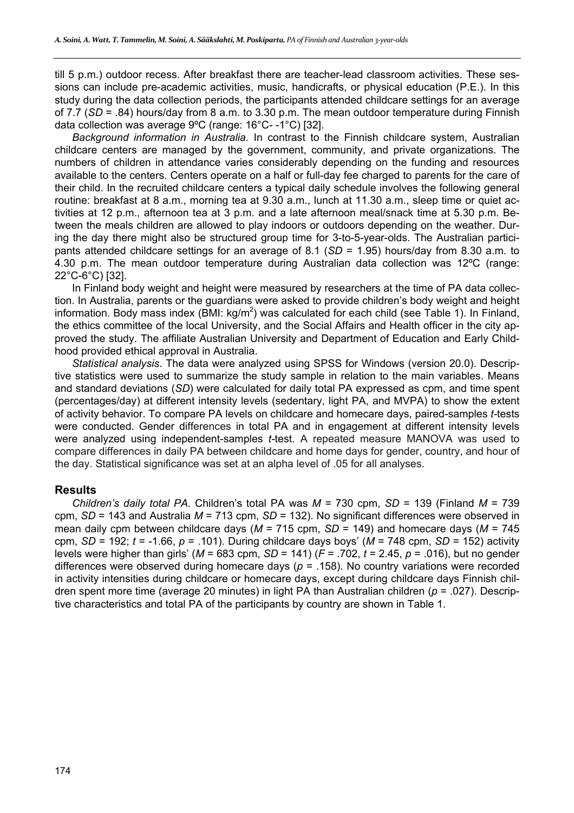till 5 p.m.) outdoor recess. After breakfast there are teacher-lead classroom activities. These sessions can include pre-academic activities, music, handicrafts, or physical education (P.E.). In this study during the data collection periods, the participants attended childcare settings for an average of 7.7 (*SD* = .84) hours/day from 8 a.m. to 3.30 p.m. The mean outdoor temperature during Finnish data collection was average 9ºC (range: 16°C- -1°C) [32].

*Background information in Australia.* In contrast to the Finnish childcare system, Australian childcare centers are managed by the government, community, and private organizations. The numbers of children in attendance varies considerably depending on the funding and resources available to the centers. Centers operate on a half or full-day fee charged to parents for the care of their child. In the recruited childcare centers a typical daily schedule involves the following general routine: breakfast at 8 a.m., morning tea at 9.30 a.m., lunch at 11.30 a.m., sleep time or quiet activities at 12 p.m., afternoon tea at 3 p.m. and a late afternoon meal/snack time at 5.30 p.m. Between the meals children are allowed to play indoors or outdoors depending on the weather. During the day there might also be structured group time for 3-to-5-year-olds. The Australian participants attended childcare settings for an average of 8.1 (*SD* = 1.95) hours/day from 8.30 a.m. to 4.30 p.m. The mean outdoor temperature during Australian data collection was 12ºC (range: 22°C-6°C) [32].

In Finland body weight and height were measured by researchers at the time of PA data collection. In Australia, parents or the guardians were asked to provide children's body weight and height information. Body mass index (BMI: kg/m<sup>2</sup>) was calculated for each child (see Table 1). In Finland, the ethics committee of the local University, and the Social Affairs and Health officer in the city approved the study. The affiliate Australian University and Department of Education and Early Childhood provided ethical approval in Australia.

*Statistical analysis*. The data were analyzed using SPSS for Windows (version 20.0). Descriptive statistics were used to summarize the study sample in relation to the main variables. Means and standard deviations (*SD*) were calculated for daily total PA expressed as cpm, and time spent (percentages/day) at different intensity levels (sedentary, light PA, and MVPA) to show the extent of activity behavior. To compare PA levels on childcare and homecare days, paired-samples *t-*tests were conducted. Gender differences in total PA and in engagement at different intensity levels were analyzed using independent-samples *t-*test. A repeated measure MANOVA was used to compare differences in daily PA between childcare and home days for gender, country, and hour of the day. Statistical significance was set at an alpha level of .05 for all analyses.

## **Results**

*Children's daily total PA*. Children's total PA was *M* = 730 cpm, *SD* = 139 (Finland *M* = 739 cpm, *SD* = 143 and Australia *M* = 713 cpm, *SD* = 132). No significant differences were observed in mean daily cpm between childcare days (*M* = 715 cpm, *SD* = 149) and homecare days (*M* = 745 cpm, *SD* = 192; *t* = -1.66, *p* = .101). During childcare days boys' (*M* = 748 cpm, *SD* = 152) activity levels were higher than girls' (*M* = 683 cpm, *SD* = 141) (*F* = .702, *t* = 2.45, *p* = .016), but no gender differences were observed during homecare days (*p* = .158). No country variations were recorded in activity intensities during childcare or homecare days, except during childcare days Finnish children spent more time (average 20 minutes) in light PA than Australian children (*p* = .027). Descriptive characteristics and total PA of the participants by country are shown in Table 1.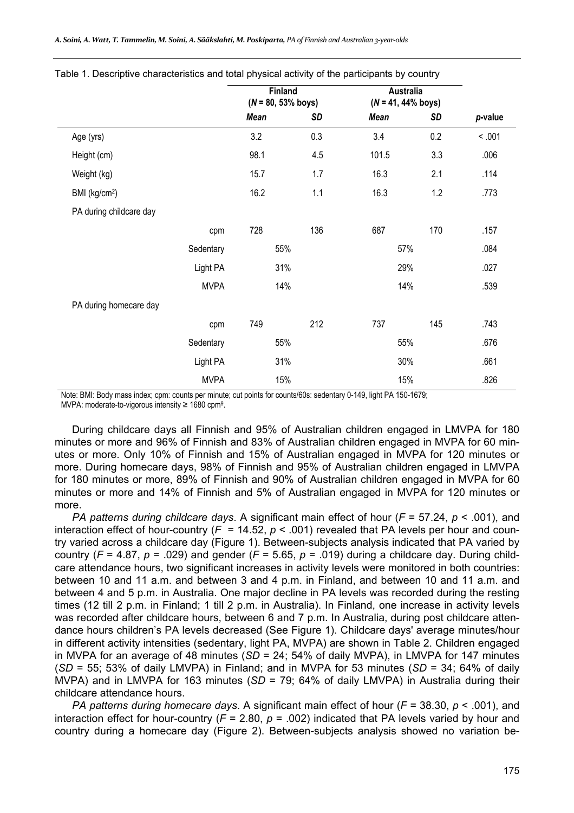|                           |             | Finland<br>$(N = 80, 53\%$ boys) |           | <b>Australia</b><br>$(N = 41, 44\%$ boys) |           |         |
|---------------------------|-------------|----------------------------------|-----------|-------------------------------------------|-----------|---------|
|                           |             | <b>Mean</b>                      | <b>SD</b> | <b>Mean</b>                               | <b>SD</b> | p-value |
| Age (yrs)                 |             | 3.2                              | 0.3       | 3.4                                       | 0.2       | < .001  |
| Height (cm)               |             | 98.1                             | 4.5       | 101.5                                     | 3.3       | .006    |
| Weight (kg)               |             | 15.7                             | 1.7       | 16.3                                      | 2.1       | .114    |
| BMI (kg/cm <sup>2</sup> ) |             | 16.2                             | 1.1       | 16.3                                      | 1.2       | .773    |
| PA during childcare day   |             |                                  |           |                                           |           |         |
|                           | cpm         | 728                              | 136       | 687                                       | 170       | .157    |
|                           | Sedentary   | 55%                              |           | 57%                                       |           | .084    |
|                           | Light PA    | 31%                              |           | 29%                                       |           | .027    |
|                           | <b>MVPA</b> | 14%                              |           | 14%                                       |           | .539    |
| PA during homecare day    |             |                                  |           |                                           |           |         |
|                           | cpm         | 749                              | 212       | 737                                       | 145       | .743    |
|                           | Sedentary   | 55%                              |           | 55%                                       |           | .676    |
|                           | Light PA    | 31%                              |           | 30%                                       |           | .661    |
|                           | <b>MVPA</b> | 15%                              |           | 15%                                       |           | .826    |

Table 1. Descriptive characteristics and total physical activity of the participants by country

Note: BMI: Body mass index; cpm: counts per minute; cut points for counts/60s: sedentary 0-149, light PA 150-1679; MVPA: moderate-to-vigorous intensity ≥ 1680 cpm9.

During childcare days all Finnish and 95% of Australian children engaged in LMVPA for 180 minutes or more and 96% of Finnish and 83% of Australian children engaged in MVPA for 60 minutes or more. Only 10% of Finnish and 15% of Australian engaged in MVPA for 120 minutes or more. During homecare days, 98% of Finnish and 95% of Australian children engaged in LMVPA for 180 minutes or more, 89% of Finnish and 90% of Australian children engaged in MVPA for 60 minutes or more and 14% of Finnish and 5% of Australian engaged in MVPA for 120 minutes or more.

*PA patterns during childcare days*. A significant main effect of hour (*F* = 57.24, *p* < .001), and interaction effect of hour-country ( $F = 14.52$ ,  $p < .001$ ) revealed that PA levels per hour and country varied across a childcare day (Figure 1). Between-subjects analysis indicated that PA varied by country ( $F = 4.87$ ,  $p = .029$ ) and gender ( $F = 5.65$ ,  $p = .019$ ) during a childcare day. During childcare attendance hours, two significant increases in activity levels were monitored in both countries: between 10 and 11 a.m. and between 3 and 4 p.m. in Finland, and between 10 and 11 a.m. and between 4 and 5 p.m. in Australia. One major decline in PA levels was recorded during the resting times (12 till 2 p.m. in Finland; 1 till 2 p.m. in Australia). In Finland, one increase in activity levels was recorded after childcare hours, between 6 and 7 p.m. In Australia, during post childcare attendance hours children's PA levels decreased (See Figure 1). Childcare days' average minutes/hour in different activity intensities (sedentary, light PA, MVPA) are shown in Table 2. Children engaged in MVPA for an average of 48 minutes (*SD* = 24; 54% of daily MVPA), in LMVPA for 147 minutes (*SD* = 55; 53% of daily LMVPA) in Finland; and in MVPA for 53 minutes (*SD* = 34; 64% of daily MVPA) and in LMVPA for 163 minutes (*SD* = 79; 64% of daily LMVPA) in Australia during their childcare attendance hours.

*PA patterns during homecare days*. A significant main effect of hour (*F* = 38.30, *p* < .001), and interaction effect for hour-country (*F* = 2.80, *p* = .002) indicated that PA levels varied by hour and country during a homecare day (Figure 2). Between-subjects analysis showed no variation be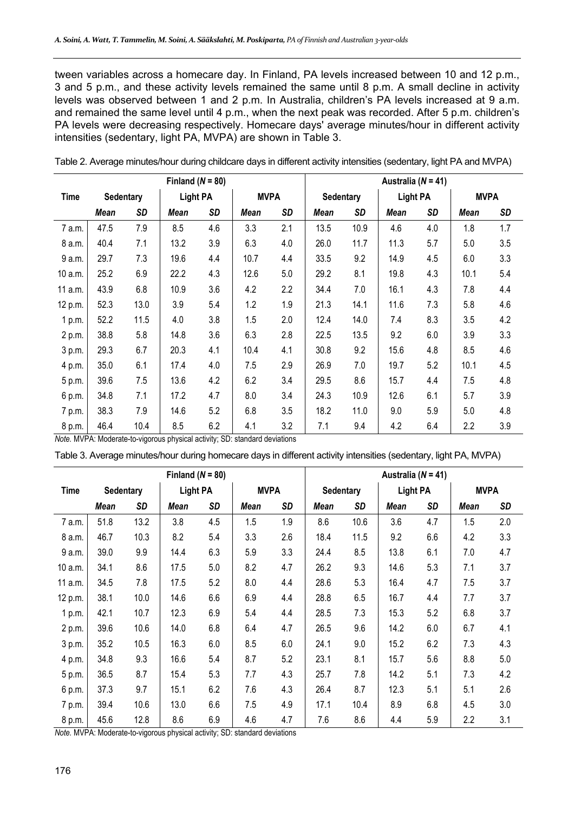tween variables across a homecare day. In Finland, PA levels increased between 10 and 12 p.m., 3 and 5 p.m., and these activity levels remained the same until 8 p.m. A small decline in activity levels was observed between 1 and 2 p.m. In Australia, children's PA levels increased at 9 a.m. and remained the same level until 4 p.m., when the next peak was recorded. After 5 p.m. children's PA levels were decreasing respectively. Homecare days' average minutes/hour in different activity intensities (sedentary, light PA, MVPA) are shown in Table 3.

| Finland ( $N = 80$ ) |                  |      |                 |     |             | Australia ( $N = 41$ ) |             |           |             |           |             |           |
|----------------------|------------------|------|-----------------|-----|-------------|------------------------|-------------|-----------|-------------|-----------|-------------|-----------|
| <b>Time</b>          | <b>Sedentary</b> |      | <b>Light PA</b> |     | <b>MVPA</b> |                        | Sedentary   |           | Light PA    |           | <b>MVPA</b> |           |
|                      | Mean             | SD   | <b>Mean</b>     | SD  | <b>Mean</b> | <b>SD</b>              | <b>Mean</b> | <b>SD</b> | <b>Mean</b> | <b>SD</b> | <b>Mean</b> | <b>SD</b> |
| 7 a.m.               | 47.5             | 7.9  | 8.5             | 4.6 | 3.3         | 2.1                    | 13.5        | 10.9      | 4.6         | 4.0       | 1.8         | 1.7       |
| 8 a.m.               | 40.4             | 7.1  | 13.2            | 3.9 | 6.3         | 4.0                    | 26.0        | 11.7      | 11.3        | 5.7       | 5.0         | 3.5       |
| 9 a.m.               | 29.7             | 7.3  | 19.6            | 4.4 | 10.7        | 4.4                    | 33.5        | 9.2       | 14.9        | 4.5       | 6.0         | 3.3       |
| 10 a.m.              | 25.2             | 6.9  | 22.2            | 4.3 | 12.6        | 5.0                    | 29.2        | 8.1       | 19.8        | 4.3       | 10.1        | 5.4       |
| 11 a.m.              | 43.9             | 6.8  | 10.9            | 3.6 | 4.2         | 2.2                    | 34.4        | 7.0       | 16.1        | 4.3       | 7.8         | 4.4       |
| 12 p.m.              | 52.3             | 13.0 | 3.9             | 5.4 | 1.2         | 1.9                    | 21.3        | 14.1      | 11.6        | 7.3       | 5.8         | 4.6       |
| 1 p.m.               | 52.2             | 11.5 | 4.0             | 3.8 | 1.5         | 2.0                    | 12.4        | 14.0      | 7.4         | 8.3       | 3.5         | 4.2       |
| 2 p.m.               | 38.8             | 5.8  | 14.8            | 3.6 | 6.3         | 2.8                    | 22.5        | 13.5      | 9.2         | 6.0       | 3.9         | 3.3       |
| 3 p.m.               | 29.3             | 6.7  | 20.3            | 4.1 | 10.4        | 4.1                    | 30.8        | 9.2       | 15.6        | 4.8       | 8.5         | 4.6       |
| 4 p.m.               | 35.0             | 6.1  | 17.4            | 4.0 | 7.5         | 2.9                    | 26.9        | 7.0       | 19.7        | 5.2       | 10.1        | 4.5       |
| 5 p.m.               | 39.6             | 7.5  | 13.6            | 4.2 | 6.2         | 3.4                    | 29.5        | 8.6       | 15.7        | 4.4       | 7.5         | 4.8       |
| 6 p.m.               | 34.8             | 7.1  | 17.2            | 4.7 | 8.0         | 3.4                    | 24.3        | 10.9      | 12.6        | 6.1       | 5.7         | 3.9       |
| 7 p.m.               | 38.3             | 7.9  | 14.6            | 5.2 | 6.8         | 3.5                    | 18.2        | 11.0      | 9.0         | 5.9       | 5.0         | 4.8       |
| 8 p.m.               | 46.4             | 10.4 | 8.5             | 6.2 | 4.1         | 3.2                    | 7.1         | 9.4       | 4.2         | 6.4       | 2.2         | 3.9       |

Table 2. Average minutes/hour during childcare days in different activity intensities (sedentary, light PA and MVPA)

*Note.* MVPA: Moderate-to-vigorous physical activity; SD: standard deviations

Table 3. Average minutes/hour during homecare days in different activity intensities (sedentary, light PA, MVPA)

| Finland ( $N = 80$ )            |      |                 |             |             |      | Australia ( $N = 41$ ) |             |                 |             |             |      |     |
|---------------------------------|------|-----------------|-------------|-------------|------|------------------------|-------------|-----------------|-------------|-------------|------|-----|
| <b>Time</b><br><b>Sedentary</b> |      | <b>Light PA</b> |             | <b>MVPA</b> |      | Sedentary              |             | <b>Light PA</b> |             | <b>MVPA</b> |      |     |
|                                 | Mean | SD              | <b>Mean</b> | SD          | Mean | <b>SD</b>              | <b>Mean</b> | SD              | <b>Mean</b> | SD          | Mean | SD  |
| 7 a.m.                          | 51.8 | 13.2            | 3.8         | 4.5         | 1.5  | 1.9                    | 8.6         | 10.6            | 3.6         | 4.7         | 1.5  | 2.0 |
| 8 a.m.                          | 46.7 | 10.3            | 8.2         | 5.4         | 3.3  | 2.6                    | 18.4        | 11.5            | 9.2         | 6.6         | 4.2  | 3.3 |
| 9 a.m.                          | 39.0 | 9.9             | 14.4        | 6.3         | 5.9  | 3.3                    | 24.4        | 8.5             | 13.8        | 6.1         | 7.0  | 4.7 |
| 10 a.m.                         | 34.1 | 8.6             | 17.5        | 5.0         | 8.2  | 4.7                    | 26.2        | 9.3             | 14.6        | 5.3         | 7.1  | 3.7 |
| 11 a.m.                         | 34.5 | 7.8             | 17.5        | 5.2         | 8.0  | 4.4                    | 28.6        | 5.3             | 16.4        | 4.7         | 7.5  | 3.7 |
| 12 p.m.                         | 38.1 | 10.0            | 14.6        | 6.6         | 6.9  | 4.4                    | 28.8        | 6.5             | 16.7        | 4.4         | 7.7  | 3.7 |
| 1 p.m.                          | 42.1 | 10.7            | 12.3        | 6.9         | 5.4  | 4.4                    | 28.5        | 7.3             | 15.3        | 5.2         | 6.8  | 3.7 |
| 2 p.m.                          | 39.6 | 10.6            | 14.0        | 6.8         | 6.4  | 4.7                    | 26.5        | 9.6             | 14.2        | 6.0         | 6.7  | 4.1 |
| 3 p.m.                          | 35.2 | 10.5            | 16.3        | 6.0         | 8.5  | 6.0                    | 24.1        | 9.0             | 15.2        | 6.2         | 7.3  | 4.3 |
| 4 p.m.                          | 34.8 | 9.3             | 16.6        | 5.4         | 8.7  | 5.2                    | 23.1        | 8.1             | 15.7        | 5.6         | 8.8  | 5.0 |
| 5 p.m.                          | 36.5 | 8.7             | 15.4        | 5.3         | 7.7  | 4.3                    | 25.7        | 7.8             | 14.2        | 5.1         | 7.3  | 4.2 |
| 6 p.m.                          | 37.3 | 9.7             | 15.1        | 6.2         | 7.6  | 4.3                    | 26.4        | 8.7             | 12.3        | 5.1         | 5.1  | 2.6 |
| 7 p.m.                          | 39.4 | 10.6            | 13.0        | 6.6         | 7.5  | 4.9                    | 17.1        | 10.4            | 8.9         | 6.8         | 4.5  | 3.0 |
| 8 p.m.                          | 45.6 | 12.8            | 8.6         | 6.9         | 4.6  | 4.7                    | 7.6         | 8.6             | 4.4         | 5.9         | 2.2  | 3.1 |

*Note.* MVPA: Moderate-to-vigorous physical activity; SD: standard deviations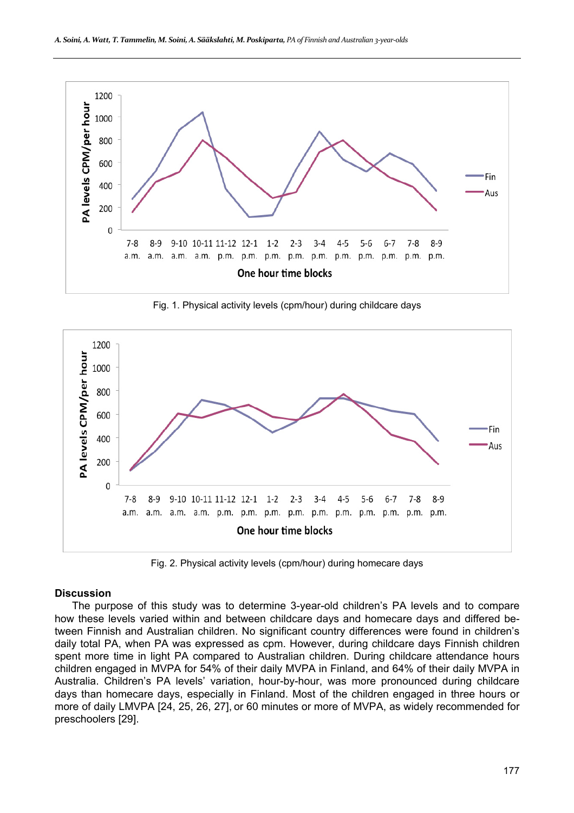

Fig. 1. Physical activity levels (cpm/hour) during childcare days



Fig. 2. Physical activity levels (cpm/hour) during homecare days

#### **Discussion**

The purpose of this study was to determine 3-year-old children's PA levels and to compare how these levels varied within and between childcare days and homecare days and differed between Finnish and Australian children. No significant country differences were found in children's daily total PA, when PA was expressed as cpm. However, during childcare days Finnish children spent more time in light PA compared to Australian children. During childcare attendance hours children engaged in MVPA for 54% of their daily MVPA in Finland, and 64% of their daily MVPA in Australia. Children's PA levels' variation, hour-by-hour, was more pronounced during childcare days than homecare days, especially in Finland. Most of the children engaged in three hours or more of daily LMVPA [24, 25, 26, 27], or 60 minutes or more of MVPA, as widely recommended for preschoolers [29].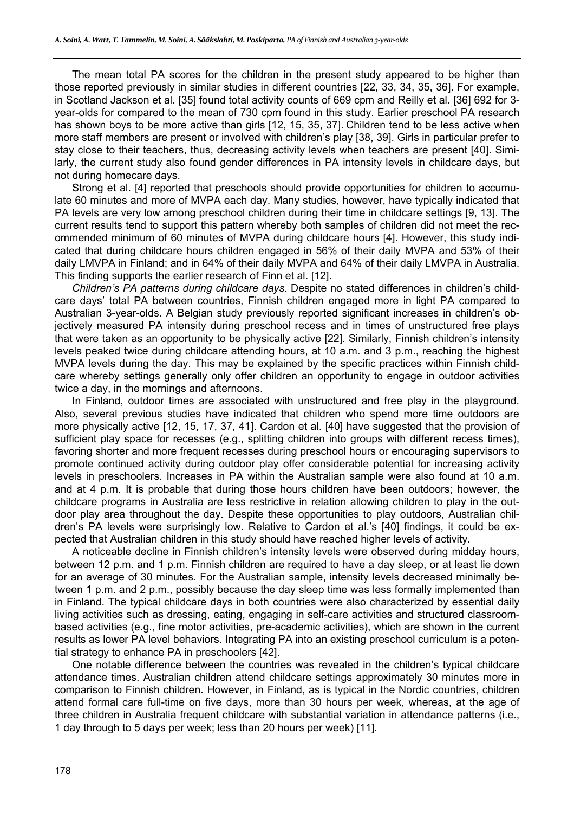The mean total PA scores for the children in the present study appeared to be higher than those reported previously in similar studies in different countries [22, 33, 34, 35, 36]. For example, in Scotland Jackson et al. [35] found total activity counts of 669 cpm and Reilly et al. [36] 692 for 3 year-olds for compared to the mean of 730 cpm found in this study. Earlier preschool PA research has shown boys to be more active than girls [12, 15, 35, 37]. Children tend to be less active when more staff members are present or involved with children's play [38, 39]. Girls in particular prefer to stay close to their teachers, thus, decreasing activity levels when teachers are present [40]. Similarly, the current study also found gender differences in PA intensity levels in childcare days, but not during homecare days.

Strong et al. [4] reported that preschools should provide opportunities for children to accumulate 60 minutes and more of MVPA each day. Many studies, however, have typically indicated that PA levels are very low among preschool children during their time in childcare settings [9, 13]. The current results tend to support this pattern whereby both samples of children did not meet the recommended minimum of 60 minutes of MVPA during childcare hours [4]. However, this study indicated that during childcare hours children engaged in 56% of their daily MVPA and 53% of their daily LMVPA in Finland; and in 64% of their daily MVPA and 64% of their daily LMVPA in Australia. This finding supports the earlier research of Finn et al. [12].

*Children's PA patterns during childcare days.* Despite no stated differences in children's childcare days' total PA between countries, Finnish children engaged more in light PA compared to Australian 3-year-olds. A Belgian study previously reported significant increases in children's objectively measured PA intensity during preschool recess and in times of unstructured free plays that were taken as an opportunity to be physically active [22]. Similarly, Finnish children's intensity levels peaked twice during childcare attending hours, at 10 a.m. and 3 p.m., reaching the highest MVPA levels during the day. This may be explained by the specific practices within Finnish childcare whereby settings generally only offer children an opportunity to engage in outdoor activities twice a day, in the mornings and afternoons.

In Finland, outdoor times are associated with unstructured and free play in the playground. Also, several previous studies have indicated that children who spend more time outdoors are more physically active [12, 15, 17, 37, 41]. Cardon et al. [40] have suggested that the provision of sufficient play space for recesses (e.g., splitting children into groups with different recess times), favoring shorter and more frequent recesses during preschool hours or encouraging supervisors to promote continued activity during outdoor play offer considerable potential for increasing activity levels in preschoolers. Increases in PA within the Australian sample were also found at 10 a.m. and at 4 p.m. It is probable that during those hours children have been outdoors; however, the childcare programs in Australia are less restrictive in relation allowing children to play in the outdoor play area throughout the day. Despite these opportunities to play outdoors, Australian children's PA levels were surprisingly low. Relative to Cardon et al.'s [40] findings, it could be expected that Australian children in this study should have reached higher levels of activity.

A noticeable decline in Finnish children's intensity levels were observed during midday hours, between 12 p.m. and 1 p.m. Finnish children are required to have a day sleep, or at least lie down for an average of 30 minutes. For the Australian sample, intensity levels decreased minimally between 1 p.m. and 2 p.m., possibly because the day sleep time was less formally implemented than in Finland. The typical childcare days in both countries were also characterized by essential daily living activities such as dressing, eating, engaging in self-care activities and structured classroombased activities (e.g., fine motor activities, pre-academic activities), which are shown in the current results as lower PA level behaviors. Integrating PA into an existing preschool curriculum is a potential strategy to enhance PA in preschoolers [42].

One notable difference between the countries was revealed in the children's typical childcare attendance times. Australian children attend childcare settings approximately 30 minutes more in comparison to Finnish children. However, in Finland, as is typical in the Nordic countries, children attend formal care full-time on five days, more than 30 hours per week, whereas, at the age of three children in Australia frequent childcare with substantial variation in attendance patterns (i.e., 1 day through to 5 days per week; less than 20 hours per week) [11].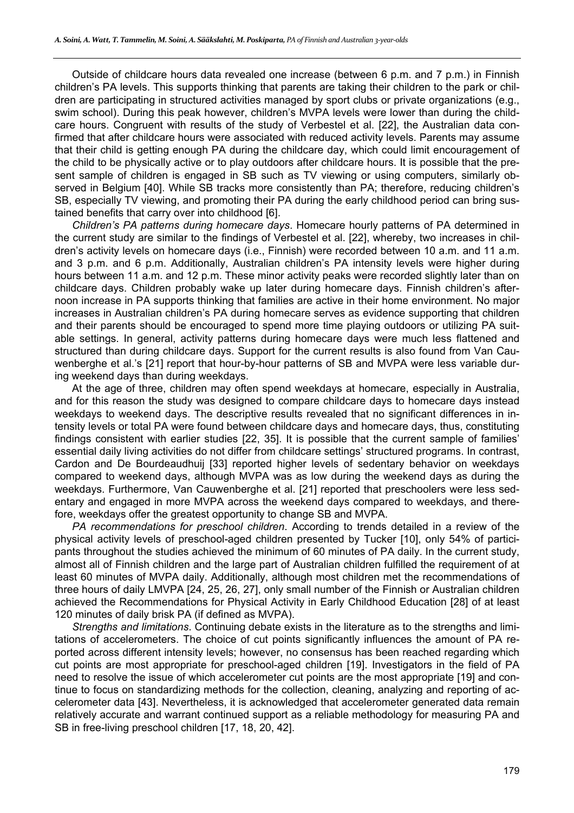Outside of childcare hours data revealed one increase (between 6 p.m. and 7 p.m.) in Finnish children's PA levels. This supports thinking that parents are taking their children to the park or children are participating in structured activities managed by sport clubs or private organizations (e.g., swim school). During this peak however, children's MVPA levels were lower than during the childcare hours. Congruent with results of the study of Verbestel et al. [22], the Australian data confirmed that after childcare hours were associated with reduced activity levels. Parents may assume that their child is getting enough PA during the childcare day, which could limit encouragement of the child to be physically active or to play outdoors after childcare hours. It is possible that the present sample of children is engaged in SB such as TV viewing or using computers, similarly observed in Belgium [40]. While SB tracks more consistently than PA; therefore, reducing children's SB, especially TV viewing, and promoting their PA during the early childhood period can bring sustained benefits that carry over into childhood [6].

*Children's PA patterns during homecare days*. Homecare hourly patterns of PA determined in the current study are similar to the findings of Verbestel et al. [22], whereby, two increases in children's activity levels on homecare days (i.e., Finnish) were recorded between 10 a.m. and 11 a.m. and 3 p.m. and 6 p.m. Additionally, Australian children's PA intensity levels were higher during hours between 11 a.m. and 12 p.m. These minor activity peaks were recorded slightly later than on childcare days. Children probably wake up later during homecare days. Finnish children's afternoon increase in PA supports thinking that families are active in their home environment. No major increases in Australian children's PA during homecare serves as evidence supporting that children and their parents should be encouraged to spend more time playing outdoors or utilizing PA suitable settings. In general, activity patterns during homecare days were much less flattened and structured than during childcare days. Support for the current results is also found from Van Cauwenberghe et al.'s [21] report that hour-by-hour patterns of SB and MVPA were less variable during weekend days than during weekdays.

At the age of three, children may often spend weekdays at homecare, especially in Australia, and for this reason the study was designed to compare childcare days to homecare days instead weekdays to weekend days. The descriptive results revealed that no significant differences in intensity levels or total PA were found between childcare days and homecare days, thus, constituting findings consistent with earlier studies [22, 35]. It is possible that the current sample of families' essential daily living activities do not differ from childcare settings' structured programs. In contrast, Cardon and De Bourdeaudhuij [33] reported higher levels of sedentary behavior on weekdays compared to weekend days, although MVPA was as low during the weekend days as during the weekdays. Furthermore, Van Cauwenberghe et al. [21] reported that preschoolers were less sedentary and engaged in more MVPA across the weekend days compared to weekdays, and therefore, weekdays offer the greatest opportunity to change SB and MVPA.

*PA recommendations for preschool children*. According to trends detailed in a review of the physical activity levels of preschool-aged children presented by Tucker [10], only 54% of participants throughout the studies achieved the minimum of 60 minutes of PA daily. In the current study, almost all of Finnish children and the large part of Australian children fulfilled the requirement of at least 60 minutes of MVPA daily. Additionally, although most children met the recommendations of three hours of daily LMVPA [24, 25, 26, 27], only small number of the Finnish or Australian children achieved the Recommendations for Physical Activity in Early Childhood Education [28] of at least 120 minutes of daily brisk PA (if defined as MVPA).

*Strengths and limitations*. Continuing debate exists in the literature as to the strengths and limitations of accelerometers. The choice of cut points significantly influences the amount of PA reported across different intensity levels; however, no consensus has been reached regarding which cut points are most appropriate for preschool-aged children [19]. Investigators in the field of PA need to resolve the issue of which accelerometer cut points are the most appropriate [19] and continue to focus on standardizing methods for the collection, cleaning, analyzing and reporting of accelerometer data [43]. Nevertheless, it is acknowledged that accelerometer generated data remain relatively accurate and warrant continued support as a reliable methodology for measuring PA and SB in free-living preschool children [17, 18, 20, 42].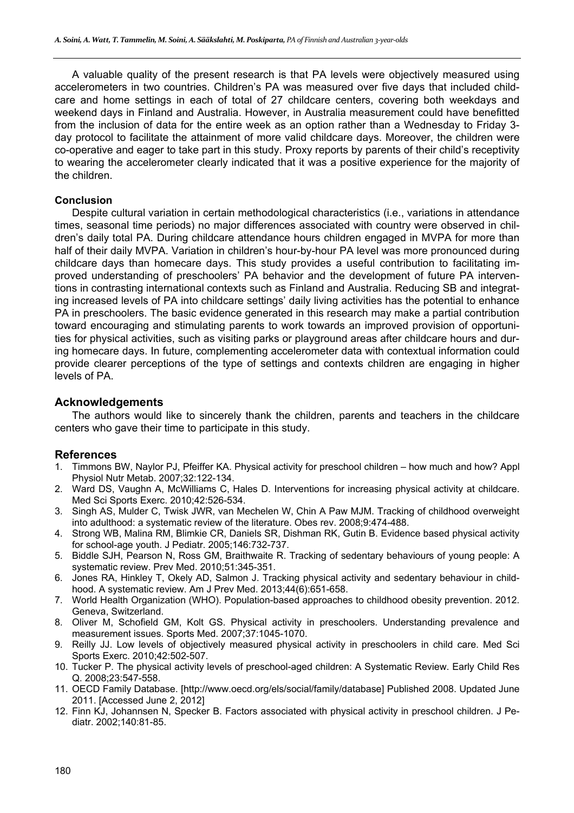A valuable quality of the present research is that PA levels were objectively measured using accelerometers in two countries. Children's PA was measured over five days that included childcare and home settings in each of total of 27 childcare centers, covering both weekdays and weekend days in Finland and Australia. However, in Australia measurement could have benefitted from the inclusion of data for the entire week as an option rather than a Wednesday to Friday 3 day protocol to facilitate the attainment of more valid childcare days. Moreover, the children were co-operative and eager to take part in this study. Proxy reports by parents of their child's receptivity to wearing the accelerometer clearly indicated that it was a positive experience for the majority of the children.

## **Conclusion**

Despite cultural variation in certain methodological characteristics (i.e., variations in attendance times, seasonal time periods) no major differences associated with country were observed in children's daily total PA. During childcare attendance hours children engaged in MVPA for more than half of their daily MVPA. Variation in children's hour-by-hour PA level was more pronounced during childcare days than homecare days. This study provides a useful contribution to facilitating improved understanding of preschoolers' PA behavior and the development of future PA interventions in contrasting international contexts such as Finland and Australia. Reducing SB and integrating increased levels of PA into childcare settings' daily living activities has the potential to enhance PA in preschoolers. The basic evidence generated in this research may make a partial contribution toward encouraging and stimulating parents to work towards an improved provision of opportunities for physical activities, such as visiting parks or playground areas after childcare hours and during homecare days. In future, complementing accelerometer data with contextual information could provide clearer perceptions of the type of settings and contexts children are engaging in higher levels of PA.

# **Acknowledgements**

The authors would like to sincerely thank the children, parents and teachers in the childcare centers who gave their time to participate in this study.

# **References**

- 1. Timmons BW, Naylor PJ, Pfeiffer KA. Physical activity for preschool children how much and how? Appl Physiol Nutr Metab. 2007;32:122-134.
- 2. Ward DS, Vaughn A, McWilliams C, Hales D. Interventions for increasing physical activity at childcare. Med Sci Sports Exerc. 2010;42:526-534.
- 3. Singh AS, Mulder C, Twisk JWR, van Mechelen W, Chin A Paw MJM. Tracking of childhood overweight into adulthood: a systematic review of the literature. Obes rev. 2008;9:474-488.
- 4. Strong WB, Malina RM, Blimkie CR, Daniels SR, Dishman RK, Gutin B. Evidence based physical activity for school-age youth. J Pediatr. 2005;146:732-737.
- 5. Biddle SJH, Pearson N, Ross GM, Braithwaite R. Tracking of sedentary behaviours of young people: A systematic review. Prev Med. 2010;51:345-351.
- 6. Jones RA, Hinkley T, Okely AD, Salmon J. Tracking physical activity and sedentary behaviour in childhood. A systematic review. Am J Prev Med. 2013;44(6):651-658.
- 7. World Health Organization (WHO). Population-based approaches to childhood obesity prevention. 2012. Geneva, Switzerland.
- 8. Oliver M, Schofield GM, Kolt GS. Physical activity in preschoolers. Understanding prevalence and measurement issues. Sports Med. 2007;37:1045-1070.
- 9. Reilly JJ. Low levels of objectively measured physical activity in preschoolers in child care. Med Sci Sports Exerc. 2010;42:502-507.
- 10. Tucker P. The physical activity levels of preschool-aged children: A Systematic Review. Early Child Res Q. 2008;23:547-558.
- 11. OECD Family Database. [http://www.oecd.org/els/social/family/database] Published 2008. Updated June 2011. [Accessed June 2, 2012]
- 12. Finn KJ, Johannsen N, Specker B. Factors associated with physical activity in preschool children. J Pediatr. 2002;140:81-85.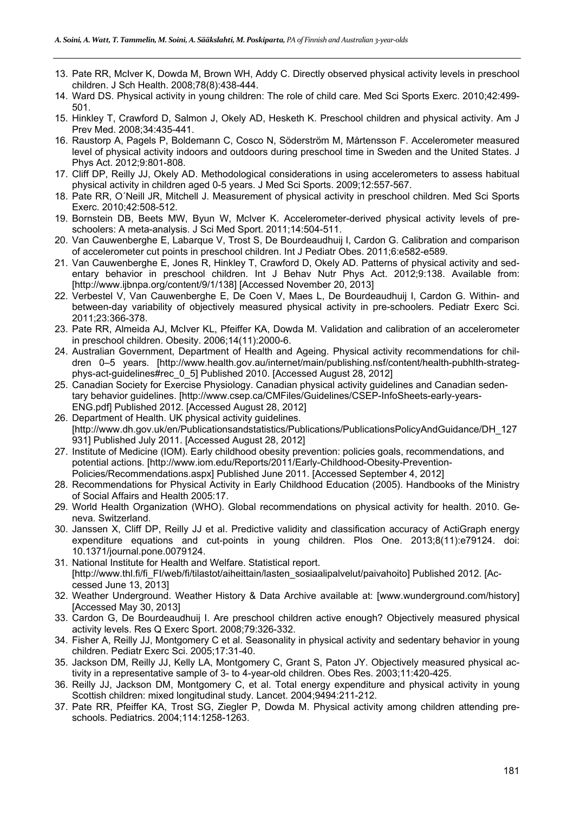- 13. Pate RR, McIver K, Dowda M, Brown WH, Addy C. Directly observed physical activity levels in preschool children. J Sch Health. 2008;78(8):438-444.
- 14. Ward DS. Physical activity in young children: The role of child care. Med Sci Sports Exerc. 2010;42:499- 501.
- 15. Hinkley T, Crawford D, Salmon J, Okely AD, Hesketh K. Preschool children and physical activity. Am J Prev Med. 2008;34:435-441.
- 16. Raustorp A, Pagels P, Boldemann C, Cosco N, Söderström M, Mårtensson F. Accelerometer measured level of physical activity indoors and outdoors during preschool time in Sweden and the United States. J Phys Act. 2012;9:801-808.
- 17. Cliff DP, Reilly JJ, Okely AD. Methodological considerations in using accelerometers to assess habitual physical activity in children aged 0-5 years. J Med Sci Sports. 2009;12:557-567.
- 18. Pate RR, O´Neill JR, Mitchell J. Measurement of physical activity in preschool children. Med Sci Sports Exerc. 2010;42:508-512.
- 19. Bornstein DB, Beets MW, Byun W, McIver K. Accelerometer-derived physical activity levels of preschoolers: A meta-analysis. J Sci Med Sport. 2011;14:504-511.
- 20. Van Cauwenberghe E, Labarque V, Trost S, De Bourdeaudhuij I, Cardon G. Calibration and comparison of accelerometer cut points in preschool children. Int J Pediatr Obes. 2011;6:e582-e589.
- 21. Van Cauwenberghe E, Jones R, Hinkley T, Crawford D, Okely AD. Patterns of physical activity and sedentary behavior in preschool children. Int J Behav Nutr Phys Act. 2012;9:138. Available from: [http://www.ijbnpa.org/content/9/1/138] [Accessed November 20, 2013]
- 22. Verbestel V, Van Cauwenberghe E, De Coen V, Maes L, De Bourdeaudhuij I, Cardon G. Within- and between-day variability of objectively measured physical activity in pre-schoolers. Pediatr Exerc Sci. 2011;23:366-378.
- 23. Pate RR, Almeida AJ, McIver KL, Pfeiffer KA, Dowda M. Validation and calibration of an accelerometer in preschool children. Obesity. 2006;14(11):2000-6.
- 24. Australian Government, Department of Health and Ageing. Physical activity recommendations for children 0–5 years. [http://www.health.gov.au/internet/main/publishing.nsf/content/health-pubhlth-strategphys-act-guidelines#rec\_0\_5] Published 2010. [Accessed August 28, 2012]
- 25. Canadian Society for Exercise Physiology. Canadian physical activity guidelines and Canadian sedentary behavior guidelines. [http://www.csep.ca/CMFiles/Guidelines/CSEP-InfoSheets-early-years-ENG.pdf] Published 2012. [Accessed August 28, 2012]
- 26. Department of Health. UK physical activity quidelines. [http://www.dh.gov.uk/en/Publicationsandstatistics/Publications/PublicationsPolicyAndGuidance/DH\_127 931] Published July 2011. [Accessed August 28, 2012]
- 27. Institute of Medicine (IOM). Early childhood obesity prevention: policies goals, recommendations, and potential actions. [http://www.iom.edu/Reports/2011/Early-Childhood-Obesity-Prevention-Policies/Recommendations.aspx] Published June 2011. [Accessed September 4, 2012]
- 28. Recommendations for Physical Activity in Early Childhood Education (2005). Handbooks of the Ministry of Social Affairs and Health 2005:17.
- 29. World Health Organization (WHO). Global recommendations on physical activity for health. 2010. Geneva. Switzerland.
- 30. Janssen X, Cliff DP, Reilly JJ et al. Predictive validity and classification accuracy of ActiGraph energy expenditure equations and cut-points in young children. Plos One. 2013;8(11):e79124. doi: 10.1371/journal.pone.0079124.
- 31. National Institute for Health and Welfare. Statistical report. [http://www.thl.fi/fi\_FI/web/fi/tilastot/aiheittain/lasten\_sosiaalipalvelut/paivahoito] Published 2012. [Accessed June 13, 2013]
- 32. Weather Underground. Weather History & Data Archive available at: [www.wunderground.com/history] [Accessed May 30, 2013]
- 33. Cardon G, De Bourdeaudhuij I. Are preschool children active enough? Objectively measured physical activity levels. Res Q Exerc Sport. 2008;79:326-332.
- 34. Fisher A, Reilly JJ, Montgomery C et al. Seasonality in physical activity and sedentary behavior in young children. Pediatr Exerc Sci. 2005;17:31-40.
- 35. Jackson DM, Reilly JJ, Kelly LA, Montgomery C, Grant S, Paton JY. Objectively measured physical activity in a representative sample of 3- to 4-year-old children. Obes Res. 2003;11:420-425.
- 36. Reilly JJ, Jackson DM, Montgomery C, et al. Total energy expenditure and physical activity in young Scottish children: mixed longitudinal study. Lancet. 2004;9494:211-212.
- 37. Pate RR, Pfeiffer KA, Trost SG, Ziegler P, Dowda M. Physical activity among children attending preschools. Pediatrics. 2004;114:1258-1263.